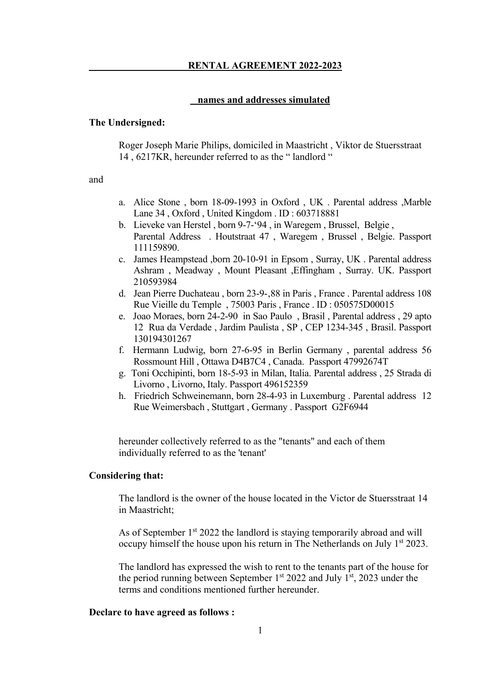#### **names and addresses simulated**

#### **The Undersigned:**

Roger Joseph Marie Philips, domiciled in Maastricht , Viktor de Stuersstraat 14 , 6217KR, hereunder referred to as the " landlord "

and

- a. Alice Stone , born 18-09-1993 in Oxford , UK . Parental address ,Marble Lane 34 , Oxford , United Kingdom . ID : 603718881
- b. Lieveke van Herstel , born 9-7-'94 , in Waregem , Brussel, Belgie , Parental Address . Houtstraat 47 , Waregem , Brussel , Belgie. Passport 111159890.
- c. James Heampstead ,born 20-10-91 in Epsom , Surray, UK . Parental address Ashram , Meadway , Mount Pleasant ,Effingham , Surray. UK. Passport 210593984
- d. Jean Pierre Duchateau, born 23-9-,88 in Paris, France . Parental address 108 Rue Vieille du Temple , 75003 Paris , France . ID : 050575D00015
- e. Joao Moraes, born 24-2-90 in Sao Paulo , Brasil , Parental address , 29 apto 12 Rua da Verdade , Jardim Paulista , SP , CEP 1234-345 , Brasil. Passport 130194301267
- f. Hermann Ludwig, born 27-6-95 in Berlin Germany , parental address 56 Rossmount Hill , Ottawa D4B7C4 , Canada. Passport 47992674T
- g. Toni Occhipinti, born 18-5-93 in Milan, Italia. Parental address , 25 Strada di Livorno , Livorno, Italy. Passport 496152359
- h. Friedrich Schweinemann, born 28-4-93 in Luxemburg . Parental address 12 Rue Weimersbach , Stuttgart , Germany . Passport G2F6944

hereunder collectively referred to as the "tenants" and each of them individually referred to as the 'tenant'

#### **Considering that:**

The landlord is the owner of the house located in the Victor de Stuersstraat 14 in Maastricht;

As of September 1<sup>st</sup> 2022 the landlord is staying temporarily abroad and will occupy himself the house upon his return in The Netherlands on July 1<sup>st</sup> 2023.

The landlord has expressed the wish to rent to the tenants part of the house for the period running between September  $1<sup>st</sup>$  2022 and July  $1<sup>st</sup>$ , 2023 under the terms and conditions mentioned further hereunder.

#### **Declare to have agreed as follows :**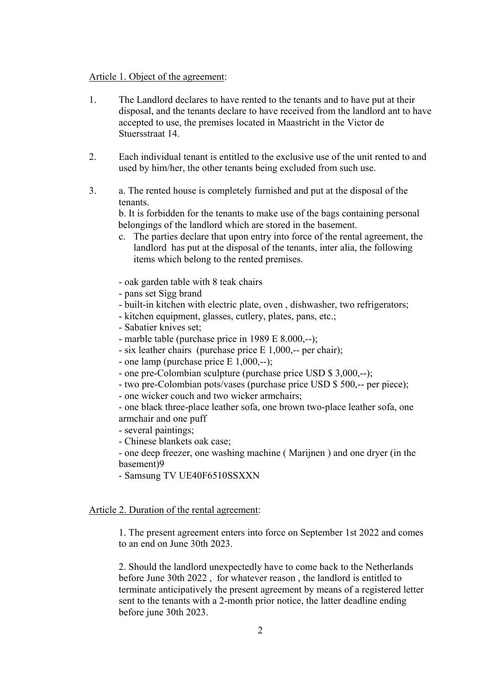#### Article 1. Object of the agreement:

- 1. The Landlord declares to have rented to the tenants and to have put at their disposal, and the tenants declare to have received from the landlord ant to have accepted to use, the premises located in Maastricht in the Victor de Stuersstraat 14.
- 2. Each individual tenant is entitled to the exclusive use of the unit rented to and used by him/her, the other tenants being excluded from such use.
- 3. a. The rented house is completely furnished and put at the disposal of the tenants.

b. It is forbidden for the tenants to make use of the bags containing personal belongings of the landlord which are stored in the basement.

c. The parties declare that upon entry into force of the rental agreement, the landlord has put at the disposal of the tenants, inter alia, the following items which belong to the rented premises.

- oak garden table with 8 teak chairs

- pans set Sigg brand
- built-in kitchen with electric plate, oven , dishwasher, two refrigerators;
- kitchen equipment, glasses, cutlery, plates, pans, etc.;
- Sabatier knives set;
- marble table (purchase price in 1989 E 8.000,--);
- six leather chairs (purchase price E 1,000,-- per chair);
- one lamp (purchase price E 1,000,--);
- one pre-Colombian sculpture (purchase price USD \$ 3,000,--);
- two pre-Colombian pots/vases (purchase price USD \$ 500,-- per piece);
- one wicker couch and two wicker armchairs;
- one black three-place leather sofa, one brown two-place leather sofa, one armchair and one puff
- several paintings;
- Chinese blankets oak case;
- one deep freezer, one washing machine ( Marijnen ) and one dryer (in the basement)9
- Samsung TV UE40F6510SSXXN

## Article 2. Duration of the rental agreement:

1. The present agreement enters into force on September 1st 2022 and comes to an end on June 30th 2023.

2. Should the landlord unexpectedly have to come back to the Netherlands before June 30th 2022 , for whatever reason , the landlord is entitled to terminate anticipatively the present agreement by means of a registered letter sent to the tenants with a 2-month prior notice, the latter deadline ending before june 30th 2023.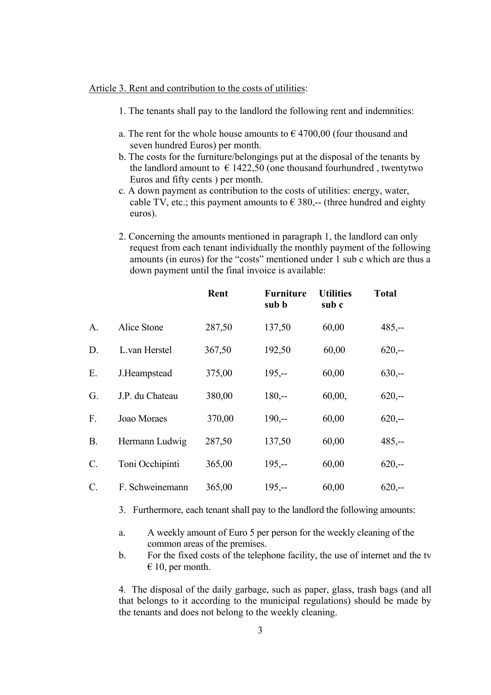#### Article 3. Rent and contribution to the costs of utilities:

- 1. The tenants shall pay to the landlord the following rent and indemnities:
- a. The rent for the whole house amounts to  $\epsilon$  4700,00 (four thousand and seven hundred Euros) per month.
- b. The costs for the furniture/belongings put at the disposal of the tenants by the landlord amount to  $\epsilon$  1422,50 (one thousand fourhundred, twentytwo Euros and fifty cents ) per month.
- c. A down payment as contribution to the costs of utilities: energy, water, cable TV, etc.; this payment amounts to  $\epsilon$  380,-- (three hundred and eighty euros).
- 2. Concerning the amounts mentioned in paragraph 1, the landlord can only request from each tenant individually the monthly payment of the following amounts (in euros) for the "costs" mentioned under 1 sub c which are thus a down payment until the final invoice is available:

|                 |                 | Rent   | <b>Furniture</b><br>sub b | <b>Utilities</b><br>sub c | <b>Total</b> |
|-----------------|-----------------|--------|---------------------------|---------------------------|--------------|
| A.              | Alice Stone     | 287,50 | 137,50                    | 60,00                     | $485, -$     |
| D.              | L.van Herstel   | 367,50 | 192,50                    | 60,00                     | $620, -$     |
| E.              | J.Heampstead    | 375,00 | $195, -$                  | 60,00                     | $630,-$      |
| G.              | J.P. du Chateau | 380,00 | $180, -$                  | 60,00,                    | $620, -$     |
| F.              | Joao Moraes     | 370,00 | $190, -$                  | 60,00                     | $620,-$      |
| <b>B.</b>       | Hermann Ludwig  | 287,50 | 137,50                    | 60,00                     | $485, -$     |
| C.              | Toni Occhipinti | 365,00 | $195, -$                  | 60,00                     | $620,-$      |
| $\mathcal{C}$ . | F. Schweinemann | 365,00 | $195, -$                  | 60,00                     | $620, -$     |

3. Furthermore, each tenant shall pay to the landlord the following amounts:

- a. A weekly amount of Euro 5 per person for the weekly cleaning of the common areas of the premises.
- b. For the fixed costs of the telephone facility, the use of internet and the tv  $\epsilon$  10, per month.

4. The disposal of the daily garbage, such as paper, glass, trash bags (and all that belongs to it according to the municipal regulations) should be made by the tenants and does not belong to the weekly cleaning.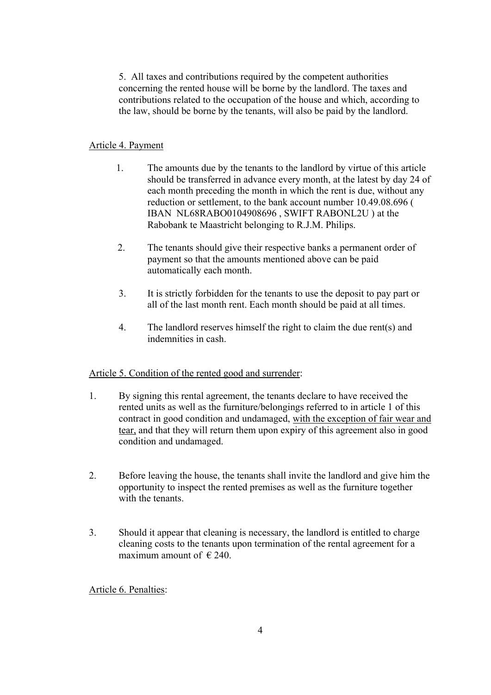5. All taxes and contributions required by the competent authorities concerning the rented house will be borne by the landlord. The taxes and contributions related to the occupation of the house and which, according to the law, should be borne by the tenants, will also be paid by the landlord.

## Article 4. Payment

- 1. The amounts due by the tenants to the landlord by virtue of this article should be transferred in advance every month, at the latest by day 24 of each month preceding the month in which the rent is due, without any reduction or settlement, to the bank account number 10.49.08.696 ( IBAN NL68RABO0104908696 , SWIFT RABONL2U ) at the Rabobank te Maastricht belonging to R.J.M. Philips.
- 2. The tenants should give their respective banks a permanent order of payment so that the amounts mentioned above can be paid automatically each month.
- 3. It is strictly forbidden for the tenants to use the deposit to pay part or all of the last month rent. Each month should be paid at all times.
- 4. The landlord reserves himself the right to claim the due rent(s) and indemnities in cash.

# Article 5. Condition of the rented good and surrender:

- 1. By signing this rental agreement, the tenants declare to have received the rented units as well as the furniture/belongings referred to in article 1 of this contract in good condition and undamaged, with the exception of fair wear and tear, and that they will return them upon expiry of this agreement also in good condition and undamaged.
- 2. Before leaving the house, the tenants shall invite the landlord and give him the opportunity to inspect the rented premises as well as the furniture together with the tenants.
- 3. Should it appear that cleaning is necessary, the landlord is entitled to charge cleaning costs to the tenants upon termination of the rental agreement for a maximum amount of  $\in$  240.

Article 6. Penalties: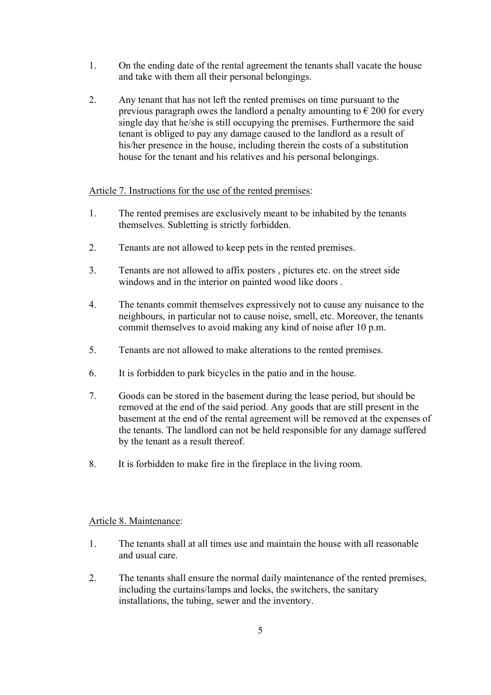- 1. On the ending date of the rental agreement the tenants shall vacate the house and take with them all their personal belongings.
- 2. Any tenant that has not left the rented premises on time pursuant to the previous paragraph owes the landlord a penalty amounting to  $\epsilon$  200 for every single day that he/she is still occupying the premises. Furthermore the said tenant is obliged to pay any damage caused to the landlord as a result of his/her presence in the house, including therein the costs of a substitution house for the tenant and his relatives and his personal belongings.

## Article 7. Instructions for the use of the rented premises:

- 1. The rented premises are exclusively meant to be inhabited by the tenants themselves. Subletting is strictly forbidden.
- 2. Tenants are not allowed to keep pets in the rented premises.
- 3. Tenants are not allowed to affix posters , pictures etc. on the street side windows and in the interior on painted wood like doors .
- 4. The tenants commit themselves expressively not to cause any nuisance to the neighbours, in particular not to cause noise, smell, etc. Moreover, the tenants commit themselves to avoid making any kind of noise after 10 p.m.
- 5. Tenants are not allowed to make alterations to the rented premises.
- 6. It is forbidden to park bicycles in the patio and in the house.
- 7. Goods can be stored in the basement during the lease period, but should be removed at the end of the said period. Any goods that are still present in the basement at the end of the rental agreement will be removed at the expenses of the tenants. The landlord can not be held responsible for any damage suffered by the tenant as a result thereof.
- 8. It is forbidden to make fire in the fireplace in the living room.

## Article 8. Maintenance:

- 1. The tenants shall at all times use and maintain the house with all reasonable and usual care.
- 2. The tenants shall ensure the normal daily maintenance of the rented premises, including the curtains/lamps and locks, the switchers, the sanitary installations, the tubing, sewer and the inventory.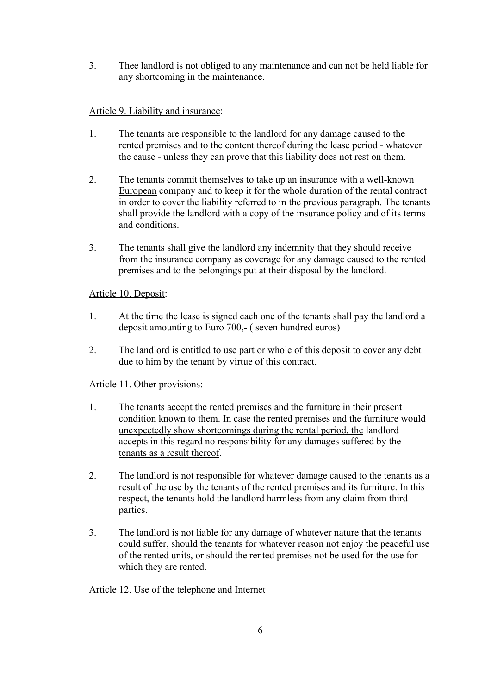3. Thee landlord is not obliged to any maintenance and can not be held liable for any shortcoming in the maintenance.

# Article 9. Liability and insurance:

- 1. The tenants are responsible to the landlord for any damage caused to the rented premises and to the content thereof during the lease period - whatever the cause - unless they can prove that this liability does not rest on them.
- 2. The tenants commit themselves to take up an insurance with a well-known European company and to keep it for the whole duration of the rental contract in order to cover the liability referred to in the previous paragraph. The tenants shall provide the landlord with a copy of the insurance policy and of its terms and conditions.
- 3. The tenants shall give the landlord any indemnity that they should receive from the insurance company as coverage for any damage caused to the rented premises and to the belongings put at their disposal by the landlord.

## Article 10. Deposit:

- 1. At the time the lease is signed each one of the tenants shall pay the landlord a deposit amounting to Euro 700,- ( seven hundred euros)
- 2. The landlord is entitled to use part or whole of this deposit to cover any debt due to him by the tenant by virtue of this contract.

## Article 11. Other provisions:

- 1. The tenants accept the rented premises and the furniture in their present condition known to them. In case the rented premises and the furniture would unexpectedly show shortcomings during the rental period, the landlord accepts in this regard no responsibility for any damages suffered by the tenants as a result thereof.
- 2. The landlord is not responsible for whatever damage caused to the tenants as a result of the use by the tenants of the rented premises and its furniture. In this respect, the tenants hold the landlord harmless from any claim from third parties.
- 3. The landlord is not liable for any damage of whatever nature that the tenants could suffer, should the tenants for whatever reason not enjoy the peaceful use of the rented units, or should the rented premises not be used for the use for which they are rented.

## Article 12. Use of the telephone and Internet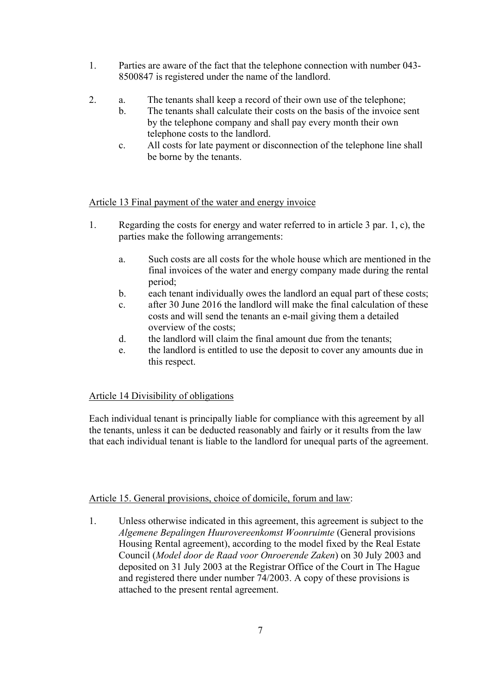- 1. Parties are aware of the fact that the telephone connection with number 043- 8500847 is registered under the name of the landlord.
- 2. a. The tenants shall keep a record of their own use of the telephone;
	- b. The tenants shall calculate their costs on the basis of the invoice sent by the telephone company and shall pay every month their own telephone costs to the landlord.
	- c. All costs for late payment or disconnection of the telephone line shall be borne by the tenants.

## Article 13 Final payment of the water and energy invoice

- 1. Regarding the costs for energy and water referred to in article 3 par. 1, c), the parties make the following arrangements:
	- a. Such costs are all costs for the whole house which are mentioned in the final invoices of the water and energy company made during the rental period;
	- b. each tenant individually owes the landlord an equal part of these costs;
	- c. after 30 June 2016 the landlord will make the final calculation of these costs and will send the tenants an e-mail giving them a detailed overview of the costs;
	- d. the landlord will claim the final amount due from the tenants;
	- e. the landlord is entitled to use the deposit to cover any amounts due in this respect.

# Article 14 Divisibility of obligations

Each individual tenant is principally liable for compliance with this agreement by all the tenants, unless it can be deducted reasonably and fairly or it results from the law that each individual tenant is liable to the landlord for unequal parts of the agreement.

## Article 15. General provisions, choice of domicile, forum and law:

1. Unless otherwise indicated in this agreement, this agreement is subject to the *Algemene Bepalingen Huurovereenkomst Woonruimte* (General provisions Housing Rental agreement), according to the model fixed by the Real Estate Council (*Model door de Raad voor Onroerende Zaken*) on 30 July 2003 and deposited on 31 July 2003 at the Registrar Office of the Court in The Hague and registered there under number 74/2003. A copy of these provisions is attached to the present rental agreement.